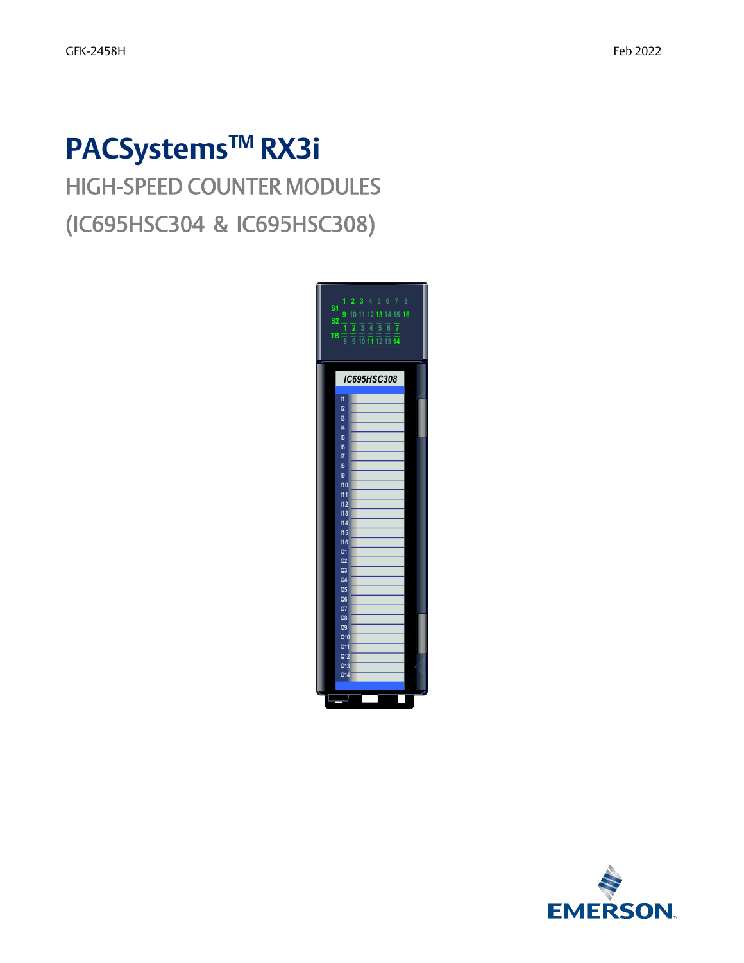# **PACSystemsTM RX3i**

## HIGH-SPEED COUNTER MODULES (IC695HSC304 & IC695HSC308)



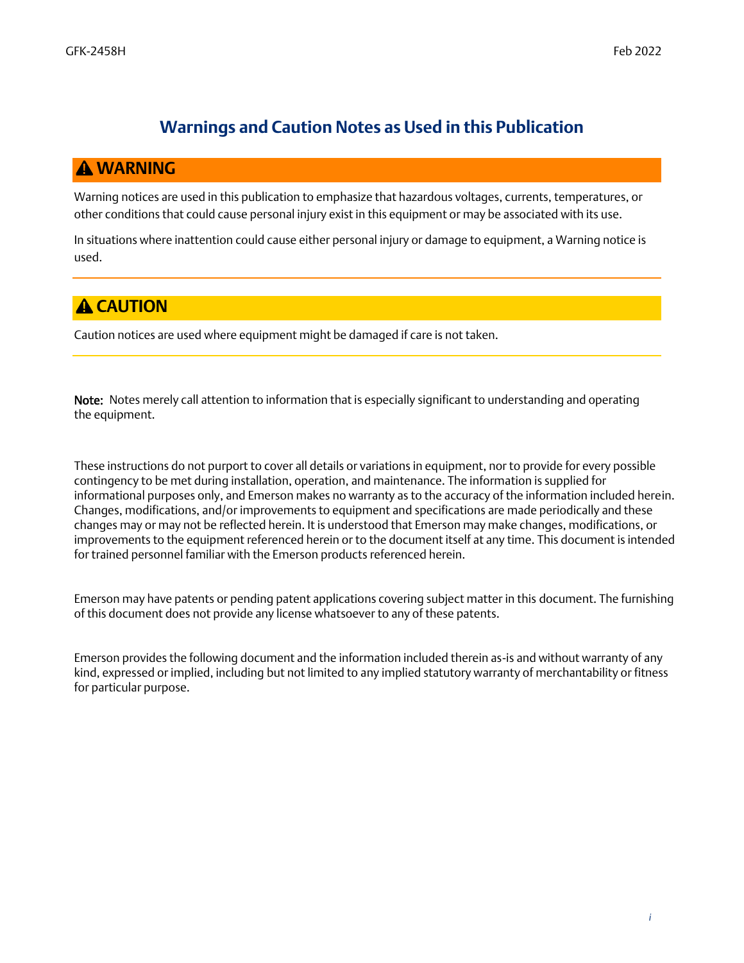#### **Warnings and Caution Notes as Used in this Publication**

#### *WARNING*

Warning notices are used in this publication to emphasize that hazardous voltages, currents, temperatures, or other conditions that could cause personal injury exist in this equipment or may be associated with its use.

In situations where inattention could cause either personal injury or damage to equipment, a Warning notice is used.

#### **A** CAUTION

Caution notices are used where equipment might be damaged if care is not taken.

Note: Notes merely call attention to information that is especially significant to understanding and operating the equipment.

These instructions do not purport to cover all details or variations in equipment, nor to provide for every possible contingency to be met during installation, operation, and maintenance. The information is supplied for informational purposes only, and Emerson makes no warranty as to the accuracy of the information included herein. Changes, modifications, and/or improvements to equipment and specifications are made periodically and these changes may or may not be reflected herein. It is understood that Emerson may make changes, modifications, or improvements to the equipment referenced herein or to the document itself at any time. This document is intended for trained personnel familiar with the Emerson products referenced herein.

Emerson may have patents or pending patent applications covering subject matter in this document. The furnishing of this document does not provide any license whatsoever to any of these patents.

Emerson provides the following document and the information included therein as-is and without warranty of any kind, expressed or implied, including but not limited to any implied statutory warranty of merchantability or fitness for particular purpose.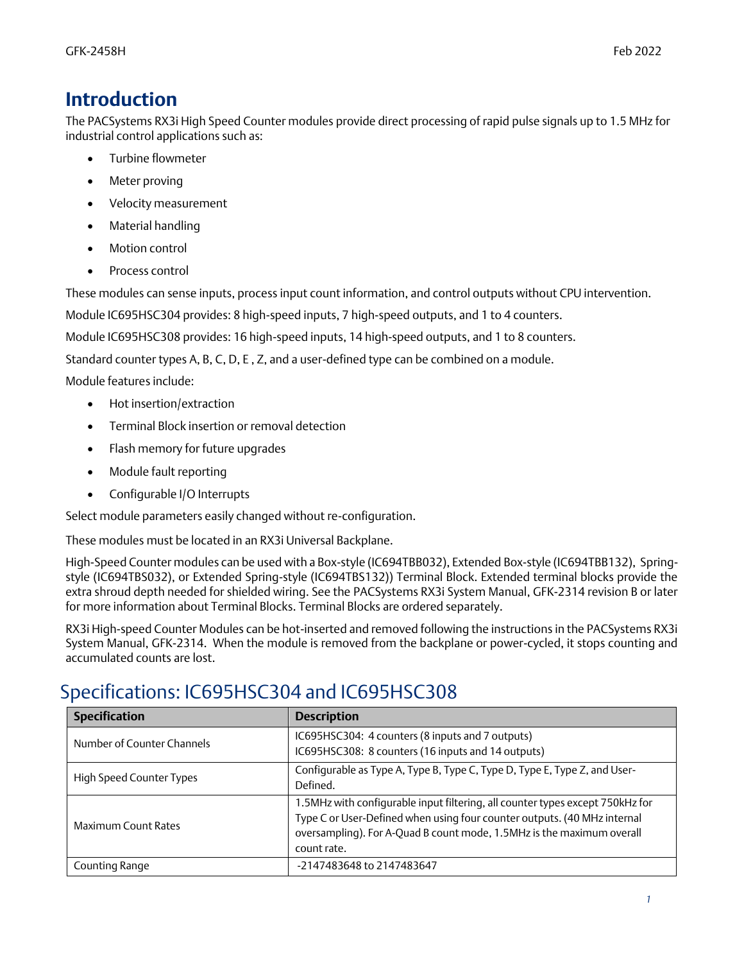## *Introduction*

The PACSystems RX3i High Speed Counter modules provide direct processing of rapid pulse signals up to 1.5 MHz for industrial control applications such as:

- Turbine flowmeter
- Meter proving
- Velocity measurement
- Material handling
- Motion control
- Process control

These modules can sense inputs, process input count information, and control outputs without CPU intervention.

Module IC695HSC304 provides: 8 high-speed inputs, 7 high-speed outputs, and 1 to 4 counters.

Module IC695HSC308 provides: 16 high-speed inputs, 14 high-speed outputs, and 1 to 8 counters.

Standard counter types A, B, C, D, E , Z, and a user-defined type can be combined on a module.

Module features include:

- Hot insertion/extraction
- Terminal Block insertion or removal detection
- Flash memory for future upgrades
- Module fault reporting
- Configurable I/O Interrupts

Select module parameters easily changed without re-configuration.

These modules must be located in an RX3i Universal Backplane.

High-Speed Counter modules can be used with a Box-style (IC694TBB032), Extended Box-style (IC694TBB132), Springstyle (IC694TBS032), or Extended Spring-style (IC694TBS132)) Terminal Block. Extended terminal blocks provide the extra shroud depth needed for shielded wiring. See the PACSystems RX3i System Manual, GFK-2314 revision B or later for more information about Terminal Blocks. Terminal Blocks are ordered separately.

RX3i High-speed Counter Modules can be hot-inserted and removed following the instructions in the PACSystems RX3i System Manual, GFK-2314. When the module is removed from the backplane or power-cycled, it stops counting and accumulated counts are lost.

## Specifications: IC695HSC304 and IC695HSC308

| <b>Specification</b>       | <b>Description</b>                                                                                                                                                                                                                                |
|----------------------------|---------------------------------------------------------------------------------------------------------------------------------------------------------------------------------------------------------------------------------------------------|
| Number of Counter Channels | IC695HSC304: 4 counters (8 inputs and 7 outputs)<br>IC695HSC308: 8 counters (16 inputs and 14 outputs)                                                                                                                                            |
| High Speed Counter Types   | Configurable as Type A, Type B, Type C, Type D, Type E, Type Z, and User-<br>Defined.                                                                                                                                                             |
| Maximum Count Rates        | 1.5MHz with configurable input filtering, all counter types except 750kHz for<br>Type C or User-Defined when using four counter outputs. (40 MHz internal<br>oversampling). For A-Quad B count mode, 1.5MHz is the maximum overall<br>count rate. |
| Counting Range             | -2147483648 to 2147483647                                                                                                                                                                                                                         |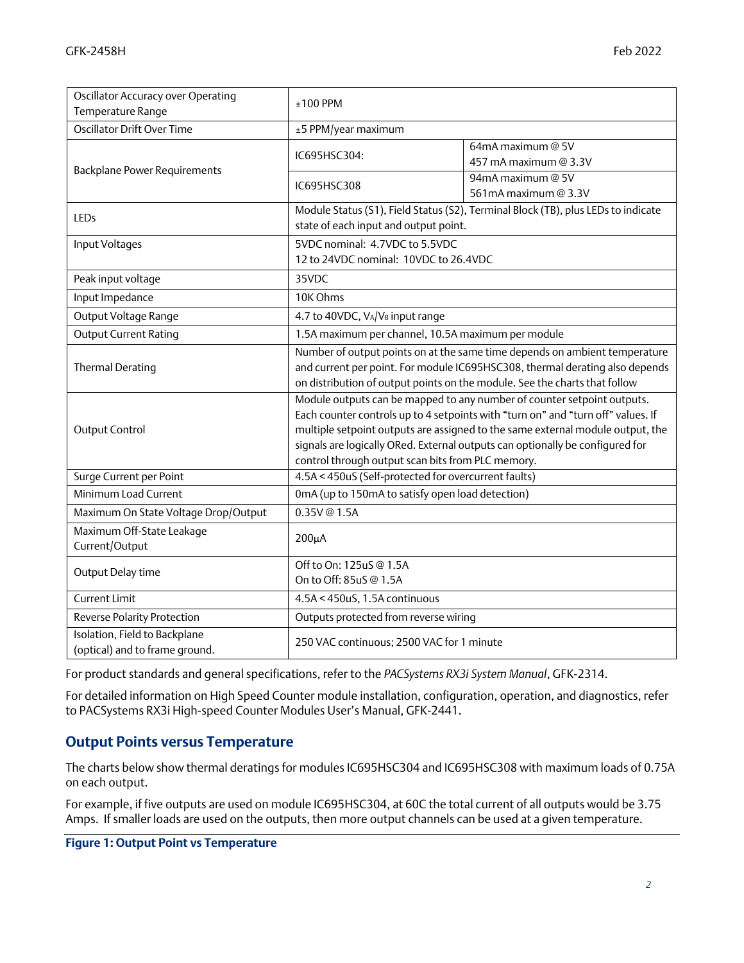| Oscillator Accuracy over Operating<br>Temperature Range         | $±100$ PPM                                                                                                                                                                                                                                                                                                                                                                          |                                                                                   |  |
|-----------------------------------------------------------------|-------------------------------------------------------------------------------------------------------------------------------------------------------------------------------------------------------------------------------------------------------------------------------------------------------------------------------------------------------------------------------------|-----------------------------------------------------------------------------------|--|
| Oscillator Drift Over Time                                      | ±5 PPM/year maximum                                                                                                                                                                                                                                                                                                                                                                 |                                                                                   |  |
| <b>Backplane Power Requirements</b>                             | IC695HSC304:                                                                                                                                                                                                                                                                                                                                                                        | 64mA maximum @ 5V<br>457 mA maximum @ 3.3V                                        |  |
|                                                                 | IC695HSC308                                                                                                                                                                                                                                                                                                                                                                         | 94mA maximum @ 5V<br>561mA maximum @ 3.3V                                         |  |
| LEDs                                                            | state of each input and output point.                                                                                                                                                                                                                                                                                                                                               | Module Status (S1), Field Status (S2), Terminal Block (TB), plus LEDs to indicate |  |
| Input Voltages                                                  | 5VDC nominal: 4.7VDC to 5.5VDC<br>12 to 24VDC nominal: 10VDC to 26.4VDC                                                                                                                                                                                                                                                                                                             |                                                                                   |  |
| Peak input voltage                                              | 35VDC                                                                                                                                                                                                                                                                                                                                                                               |                                                                                   |  |
| Input Impedance                                                 | 10K Ohms                                                                                                                                                                                                                                                                                                                                                                            |                                                                                   |  |
| Output Voltage Range                                            | 4.7 to 40VDC, V <sub>A</sub> /V <sub>B</sub> input range                                                                                                                                                                                                                                                                                                                            |                                                                                   |  |
| <b>Output Current Rating</b>                                    | 1.5A maximum per channel, 10.5A maximum per module                                                                                                                                                                                                                                                                                                                                  |                                                                                   |  |
| <b>Thermal Derating</b>                                         | Number of output points on at the same time depends on ambient temperature<br>and current per point. For module IC695HSC308, thermal derating also depends<br>on distribution of output points on the module. See the charts that follow                                                                                                                                            |                                                                                   |  |
| Output Control                                                  | Module outputs can be mapped to any number of counter setpoint outputs.<br>Each counter controls up to 4 setpoints with "turn on" and "turn off" values. If<br>multiple setpoint outputs are assigned to the same external module output, the<br>signals are logically ORed. External outputs can optionally be configured for<br>control through output scan bits from PLC memory. |                                                                                   |  |
| Surge Current per Point                                         | 4.5A < 450uS (Self-protected for overcurrent faults)                                                                                                                                                                                                                                                                                                                                |                                                                                   |  |
| Minimum Load Current                                            | 0mA (up to 150mA to satisfy open load detection)                                                                                                                                                                                                                                                                                                                                    |                                                                                   |  |
| Maximum On State Voltage Drop/Output                            | 0.35V@1.5A                                                                                                                                                                                                                                                                                                                                                                          |                                                                                   |  |
| Maximum Off-State Leakage<br>Current/Output                     | $200\mu A$                                                                                                                                                                                                                                                                                                                                                                          |                                                                                   |  |
| Output Delay time                                               | Off to On: 125uS @ 1.5A<br>On to Off: 85uS @ 1.5A                                                                                                                                                                                                                                                                                                                                   |                                                                                   |  |
| <b>Current Limit</b>                                            | 4.5A < 450uS, 1.5A continuous                                                                                                                                                                                                                                                                                                                                                       |                                                                                   |  |
| Reverse Polarity Protection                                     | Outputs protected from reverse wiring                                                                                                                                                                                                                                                                                                                                               |                                                                                   |  |
| Isolation, Field to Backplane<br>(optical) and to frame ground. | 250 VAC continuous; 2500 VAC for 1 minute                                                                                                                                                                                                                                                                                                                                           |                                                                                   |  |

For product standards and general specifications, refer to the *PACSystems RX3i System Manual*, GFK-2314.

For detailed information on High Speed Counter module installation, configuration, operation, and diagnostics, refer to PACSystems RX3i High-speed Counter Modules User's Manual, GFK-2441.

#### *Output Points versus Temperature*

The charts below show thermal deratings for modules IC695HSC304 and IC695HSC308 with maximum loads of 0.75A on each output.

For example, if five outputs are used on module IC695HSC304, at 60C the total current of all outputs would be 3.75 Amps. If smaller loads are used on the outputs, then more output channels can be used at a given temperature.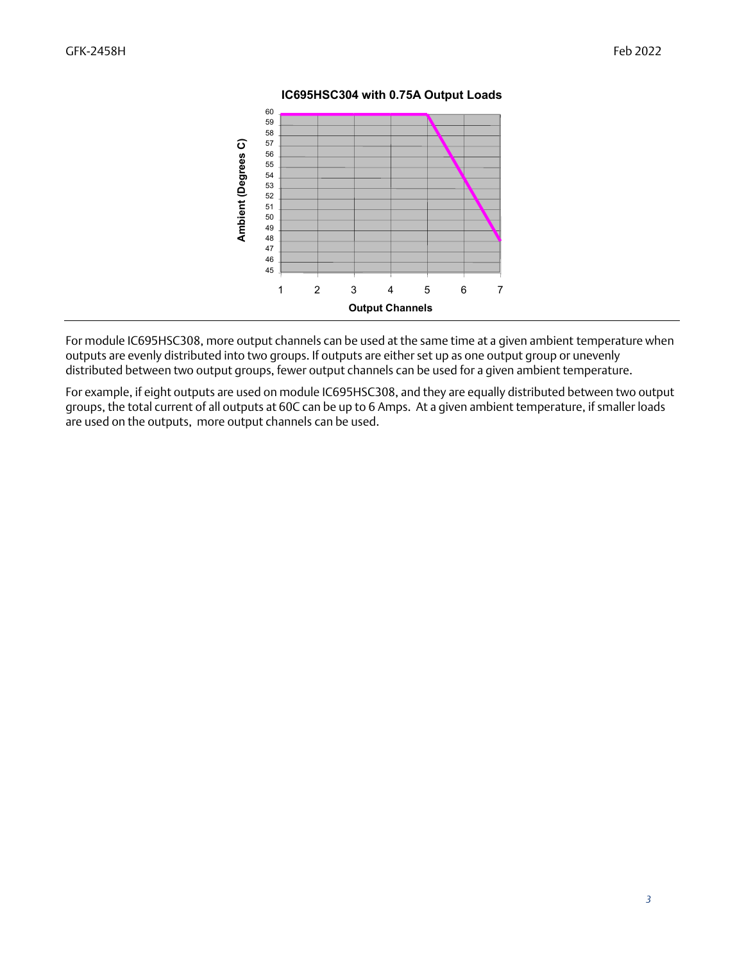

#### **IC695HSC304 with 0.75A Output Loads**

For module IC695HSC308, more output channels can be used at the same time at a given ambient temperature when outputs are evenly distributed into two groups. If outputs are either set up as one output group or unevenly distributed between two output groups, fewer output channels can be used for a given ambient temperature.

For example, if eight outputs are used on module IC695HSC308, and they are equally distributed between two output groups, the total current of all outputs at 60C can be up to 6 Amps. At a given ambient temperature, if smaller loads are used on the outputs, more output channels can be used.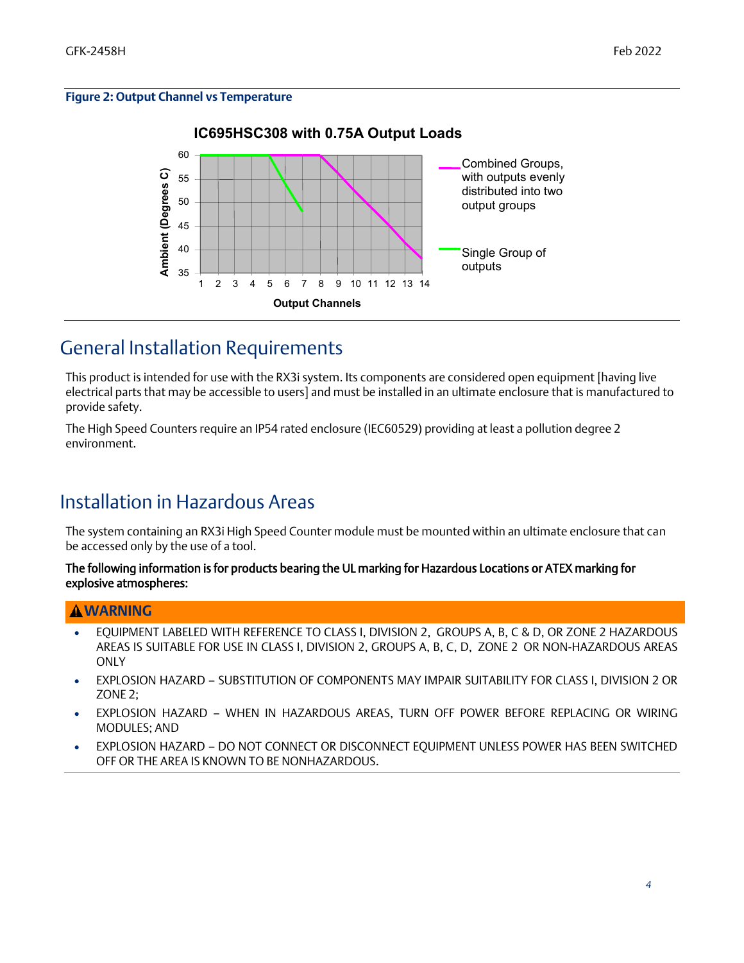#### **Figure 2: Output Channel vs Temperature**



## General Installation Requirements

This product is intended for use with the RX3i system. Its components are considered open equipment [having live electrical parts that may be accessible to users] and must be installed in an ultimate enclosure that is manufactured to provide safety.

The High Speed Counters require an IP54 rated enclosure (IEC60529) providing at least a pollution degree 2 environment.

## Installation in Hazardous Areas

The system containing an RX3i High Speed Counter module must be mounted within an ultimate enclosure that can be accessed only by the use of a tool.

The following information is for products bearing the UL marking for Hazardous Locations or ATEX marking for explosive atmospheres:

#### **WARNING**

- EQUIPMENT LABELED WITH REFERENCE TO CLASS I, DIVISION 2, GROUPS A, B, C & D, OR ZONE 2 HAZARDOUS AREAS IS SUITABLE FOR USE IN CLASS I, DIVISION 2, GROUPS A, B, C, D, ZONE 2 OR NON-HAZARDOUS AREAS **ONLY**
- EXPLOSION HAZARD SUBSTITUTION OF COMPONENTS MAY IMPAIR SUITABILITY FOR CLASS I, DIVISION 2 OR ZONE 2;
- EXPLOSION HAZARD WHEN IN HAZARDOUS AREAS, TURN OFF POWER BEFORE REPLACING OR WIRING MODULES; AND
- EXPLOSION HAZARD DO NOT CONNECT OR DISCONNECT EQUIPMENT UNLESS POWER HAS BEEN SWITCHED OFF OR THE AREA IS KNOWN TO BE NONHAZARDOUS.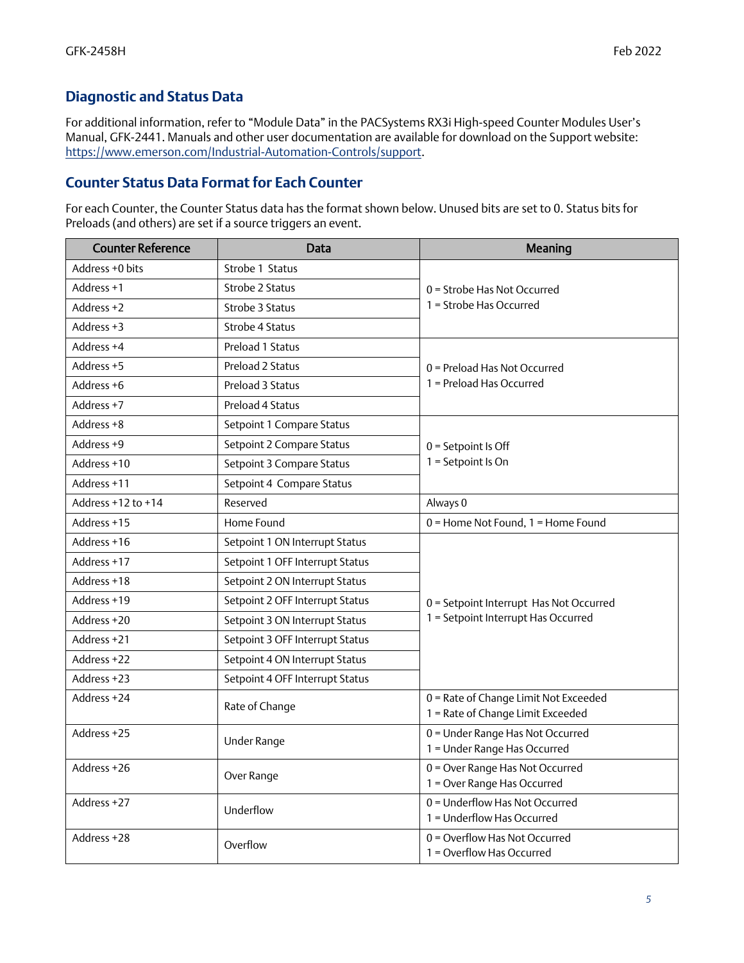## *Diagnostic and Status Data*

For additional information, refer to "Module Data" in the PACSystems RX3i High-speed Counter Modules User's Manual, GFK-2441. Manuals and other user documentation are available for download on the Support website: [https://www.emerson.com/Industrial-Automation-Controls/support.](https://www.emerson.com/Industrial-Automation-Controls/support)

#### *Counter Status Data Format for Each Counter*

For each Counter, the Counter Status data has the format shown below. Unused bits are set to 0. Status bits for Preloads (and others) are set if a source triggers an event.

| <b>Counter Reference</b> | Data                            | Meaning                                                                    |  |
|--------------------------|---------------------------------|----------------------------------------------------------------------------|--|
| Address +0 bits          | Strobe 1 Status                 |                                                                            |  |
| Address +1               | Strobe 2 Status                 | $0 =$ Strobe Has Not Occurred                                              |  |
| Address +2               | Strobe 3 Status                 | 1 = Strobe Has Occurred                                                    |  |
| Address +3               | Strobe 4 Status                 |                                                                            |  |
| Address +4               | Preload 1 Status                |                                                                            |  |
| Address +5               | Preload 2 Status                | $0$ = Preload Has Not Occurred                                             |  |
| Address +6               | Preload 3 Status                | 1 = Preload Has Occurred                                                   |  |
| Address +7               | Preload 4 Status                |                                                                            |  |
| Address +8               | Setpoint 1 Compare Status       |                                                                            |  |
| Address +9               | Setpoint 2 Compare Status       | $0 =$ Setpoint Is Off                                                      |  |
| Address +10              | Setpoint 3 Compare Status       | $1 =$ Setpoint Is On                                                       |  |
| Address +11              | Setpoint 4 Compare Status       |                                                                            |  |
| Address $+12$ to $+14$   | Reserved                        | Always 0                                                                   |  |
| Address +15              | Home Found                      | 0 = Home Not Found, 1 = Home Found                                         |  |
| Address +16              | Setpoint 1 ON Interrupt Status  |                                                                            |  |
| Address +17              | Setpoint 1 OFF Interrupt Status |                                                                            |  |
| Address +18              | Setpoint 2 ON Interrupt Status  |                                                                            |  |
| Address +19              | Setpoint 2 OFF Interrupt Status | 0 = Setpoint Interrupt Has Not Occurred                                    |  |
| Address +20              | Setpoint 3 ON Interrupt Status  | 1 = Setpoint Interrupt Has Occurred                                        |  |
| Address +21              | Setpoint 3 OFF Interrupt Status |                                                                            |  |
| Address +22              | Setpoint 4 ON Interrupt Status  |                                                                            |  |
| Address +23              | Setpoint 4 OFF Interrupt Status |                                                                            |  |
| Address +24              | Rate of Change                  | 0 = Rate of Change Limit Not Exceeded<br>1 = Rate of Change Limit Exceeded |  |
| Address +25              | Under Range                     | 0 = Under Range Has Not Occurred<br>1 = Under Range Has Occurred           |  |
| Address +26              | Over Range                      | 0 = Over Range Has Not Occurred<br>1 = Over Range Has Occurred             |  |
| Address +27              | Underflow                       | $0 =$ Underflow Has Not Occurred<br>1 = Underflow Has Occurred             |  |
| Address +28              | Overflow                        | 0 = Overflow Has Not Occurred<br>1 = Overflow Has Occurred                 |  |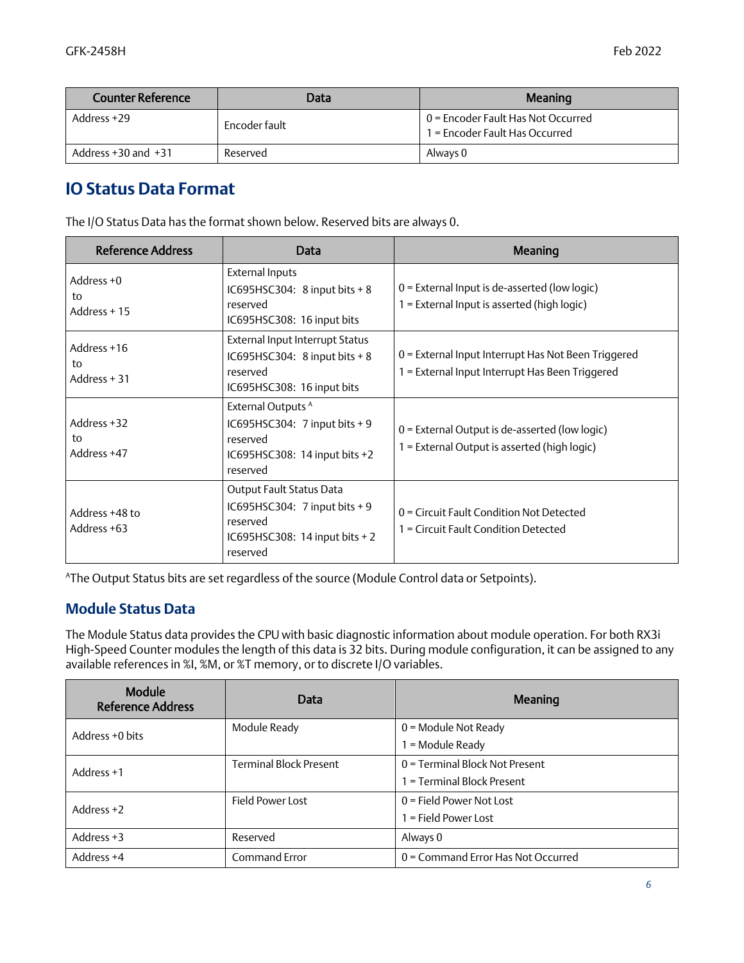| Counter Reference       | Data          | Meaning                                                              |
|-------------------------|---------------|----------------------------------------------------------------------|
| Address +29             | Encoder fault | 0 = Encoder Fault Has Not Occurred<br>1 = Encoder Fault Has Occurred |
| Address $+30$ and $+31$ | Reserved      | Always 0                                                             |

#### *IO Status Data Format*

The I/O Status Data has the format shown below. Reserved bits are always 0.

| <b>Reference Address</b>           | Data                                                                                                                    | Meaning                                                                                                |
|------------------------------------|-------------------------------------------------------------------------------------------------------------------------|--------------------------------------------------------------------------------------------------------|
| Address $+0$<br>to<br>Address + 15 | <b>External Inputs</b><br>IC695HSC304: 8 input bits + 8<br>reserved<br>IC695HSC308: 16 input bits                       | $0$ = External Input is de-asserted (low logic)<br>1 = External Input is asserted (high logic)         |
| Address +16<br>to<br>Address + 31  | External Input Interrupt Status<br>IC695HSC304: 8 input bits + 8<br>reserved<br>IC695HSC308: 16 input bits              | 0 = External Input Interrupt Has Not Been Triggered<br>1 = External Input Interrupt Has Been Triggered |
| Address +32<br>to<br>Address +47   | External Outputs <sup>A</sup><br>IC695HSC304: 7 input bits + 9<br>reserved<br>IC695HSC308: 14 input bits +2<br>reserved | $0$ = External Output is de-asserted (low logic)<br>1 = External Output is asserted (high logic)       |
| Address +48 to<br>Address +63      | Output Fault Status Data<br>IC695HSC304: 7 input bits + 9<br>reserved<br>IC695HSC308: 14 input bits $+2$<br>reserved    | 0 = Circuit Fault Condition Not Detected<br>1 = Circuit Fault Condition Detected                       |

AThe Output Status bits are set regardless of the source (Module Control data or Setpoints).

#### *Module Status Data*

The Module Status data provides the CPU with basic diagnostic information about module operation. For both RX3i High-Speed Counter modules the length of this data is 32 bits. During module configuration, it can be assigned to any available references in %I, %M, or %T memory, or to discrete I/O variables.

| Module<br><b>Reference Address</b> | Data                          | Meaning                            |
|------------------------------------|-------------------------------|------------------------------------|
| Address +0 bits                    | Module Ready                  | $0 =$ Module Not Ready             |
|                                    |                               | = Module Ready                     |
| Address +1                         | <b>Terminal Block Present</b> | 0 = Terminal Block Not Present     |
|                                    |                               | = Terminal Block Present           |
| Address $+2$                       | Field Power Lost              | $0 =$ Field Power Not Lost         |
|                                    |                               | = Field Power Lost                 |
| Address +3                         | Reserved                      | Always 0                           |
| Address +4                         | Command Error                 | 0 = Command Error Has Not Occurred |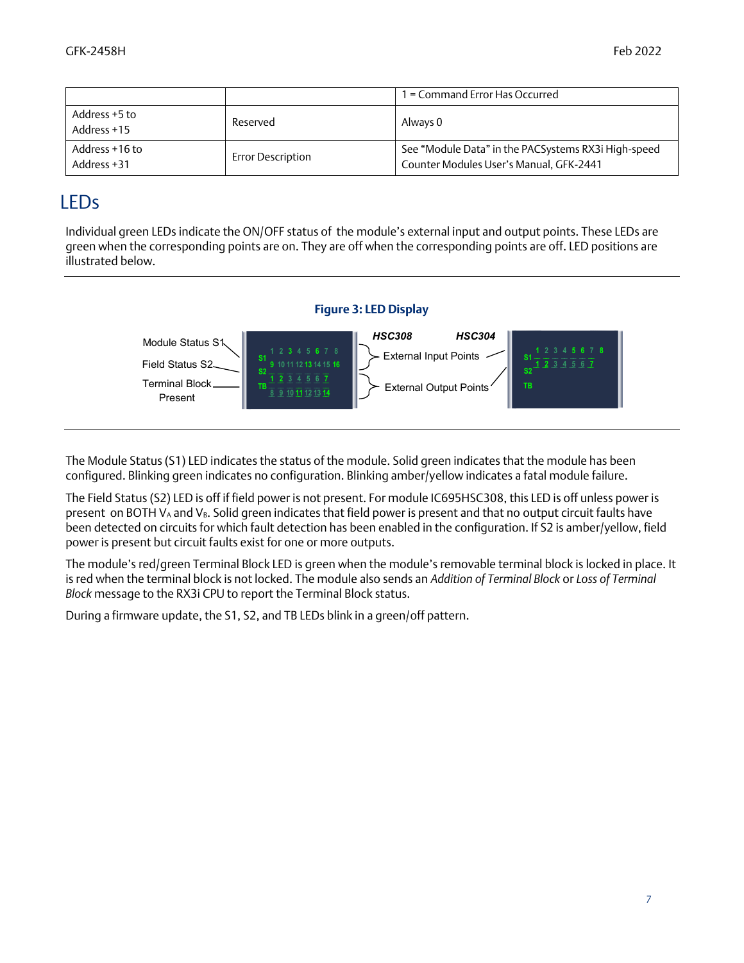|                               |                          | I = Command Error Has Occurred                                                                 |
|-------------------------------|--------------------------|------------------------------------------------------------------------------------------------|
| Address +5 to<br>Address +15  | Reserved                 | Always 0                                                                                       |
| Address +16 to<br>Address +31 | <b>Error Description</b> | See "Module Data" in the PACSystems RX3i High-speed<br>Counter Modules User's Manual, GFK-2441 |

## LEDs

Individual green LEDs indicate the ON/OFF status of the module's external input and output points. These LEDs are green when the corresponding points are on. They are off when the corresponding points are off. LED positions are illustrated below.



The Module Status (S1) LED indicates the status of the module. Solid green indicates that the module has been configured. Blinking green indicates no configuration. Blinking amber/yellow indicates a fatal module failure.

The Field Status (S2) LED is off if field power is not present. For module IC695HSC308, this LED is off unless power is present on BOTH  $V_A$  and  $V_B$ . Solid green indicates that field power is present and that no output circuit faults have been detected on circuits for which fault detection has been enabled in the configuration. If S2 is amber/yellow, field power is present but circuit faults exist for one or more outputs.

The module's red/green Terminal Block LED is green when the module's removable terminal block is locked in place. It is red when the terminal block is not locked. The module also sends an *Addition of Terminal Block* or *Loss of Terminal Block* message to the RX3i CPU to report the Terminal Block status.

During a firmware update, the S1, S2, and TB LEDs blink in a green/off pattern.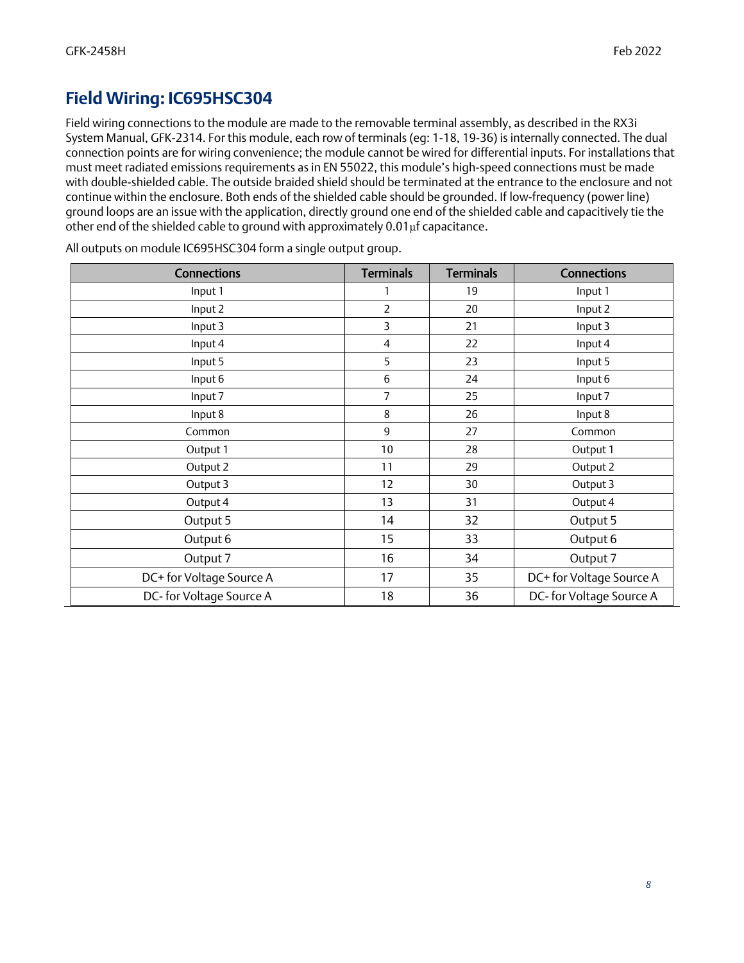#### *Field Wiring: IC695HSC304*

Field wiring connections to the module are made to the removable terminal assembly, as described in the RX3i System Manual, GFK-2314. For this module, each row of terminals (eg: 1-18, 19-36) is internally connected. The dual connection points are for wiring convenience; the module cannot be wired for differential inputs. For installations that must meet radiated emissions requirements as in EN 55022, this module's high-speed connections must be made with double-shielded cable. The outside braided shield should be terminated at the entrance to the enclosure and not continue within the enclosure. Both ends of the shielded cable should be grounded. If low-frequency (power line) ground loops are an issue with the application, directly ground one end of the shielded cable and capacitively tie the other end of the shielded cable to ground with approximately 0.01µf capacitance.

| <b>Connections</b>       | <b>Terminals</b> | <b>Terminals</b> | <b>Connections</b>       |
|--------------------------|------------------|------------------|--------------------------|
| Input 1                  | 1                | 19               | Input 1                  |
| Input 2                  | 2                | 20               | Input 2                  |
| Input 3                  | 3                | 21               | Input 3                  |
| Input 4                  | 4                | 22               | Input 4                  |
| Input 5                  | 5                | 23               | Input 5                  |
| Input 6                  | 6                | 24               | Input 6                  |
| Input 7                  | 7                | 25               | Input 7                  |
| Input 8                  | 8                | 26               | Input 8                  |
| Common                   | 9                | 27               | Common                   |
| Output 1                 | 10               | 28               | Output 1                 |
| Output 2                 | 11               | 29               | Output 2                 |
| Output 3                 | 12               | 30               | Output 3                 |
| Output 4                 | 13               | 31               | Output 4                 |
| Output 5                 | 14               | 32               | Output 5                 |
| Output 6                 | 15               | 33               | Output 6                 |
| Output 7                 | 16               | 34               | Output 7                 |
| DC+ for Voltage Source A | 17               | 35               | DC+ for Voltage Source A |
| DC-for Voltage Source A  | 18               | 36               | DC- for Voltage Source A |

All outputs on module IC695HSC304 form a single output group.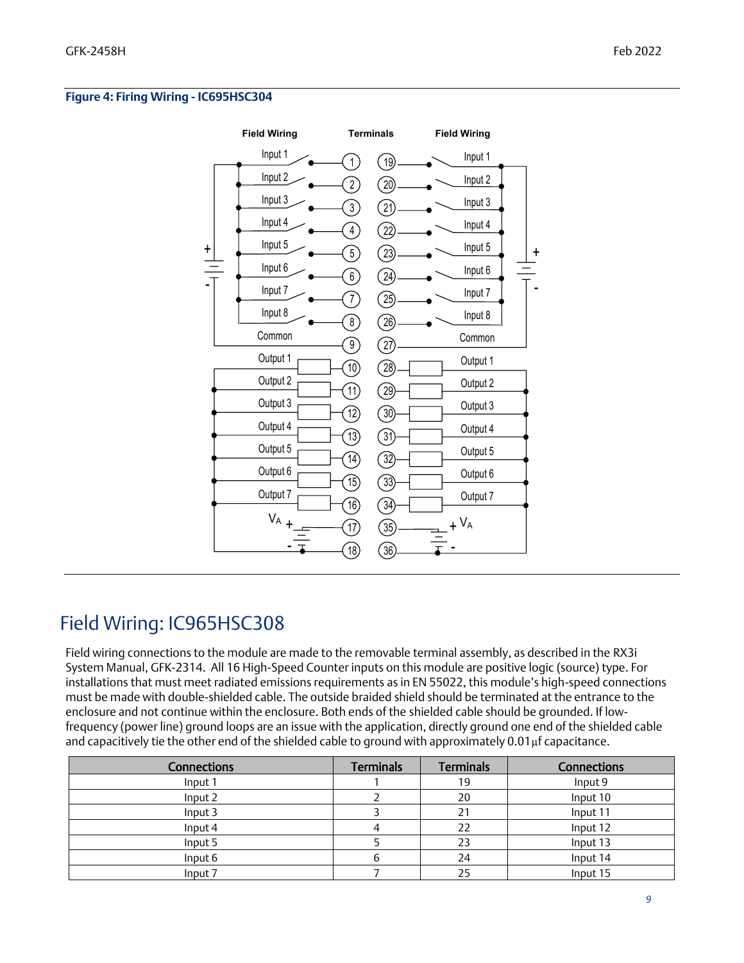#### **Figure 4: Firing Wiring - IC695HSC304**



## Field Wiring: IC965HSC308

Field wiring connections to the module are made to the removable terminal assembly, as described in the RX3i System Manual, GFK-2314. All 16 High-Speed Counter inputs on this module are positive logic (source) type. For installations that must meet radiated emissions requirements as in EN 55022, this module's high-speed connections must be made with double-shielded cable. The outside braided shield should be terminated at the entrance to the enclosure and not continue within the enclosure. Both ends of the shielded cable should be grounded. If lowfrequency (power line) ground loops are an issue with the application, directly ground one end of the shielded cable and capacitively tie the other end of the shielded cable to ground with approximately 0.01µf capacitance.

| <b>Connections</b> | <b>Terminals</b> | <b>Terminals</b> | <b>Connections</b> |
|--------------------|------------------|------------------|--------------------|
| Input 1            |                  | 19               | Input 9            |
| Input 2            |                  | 20               | Input 10           |
| Input 3            |                  | 2 <sup>1</sup>   | Input 11           |
| Input 4            |                  | 22               | Input 12           |
| Input 5            |                  | 23               | Input 13           |
| Input 6            |                  | 24               | Input 14           |
| Input 7            |                  | 25               | Input 15           |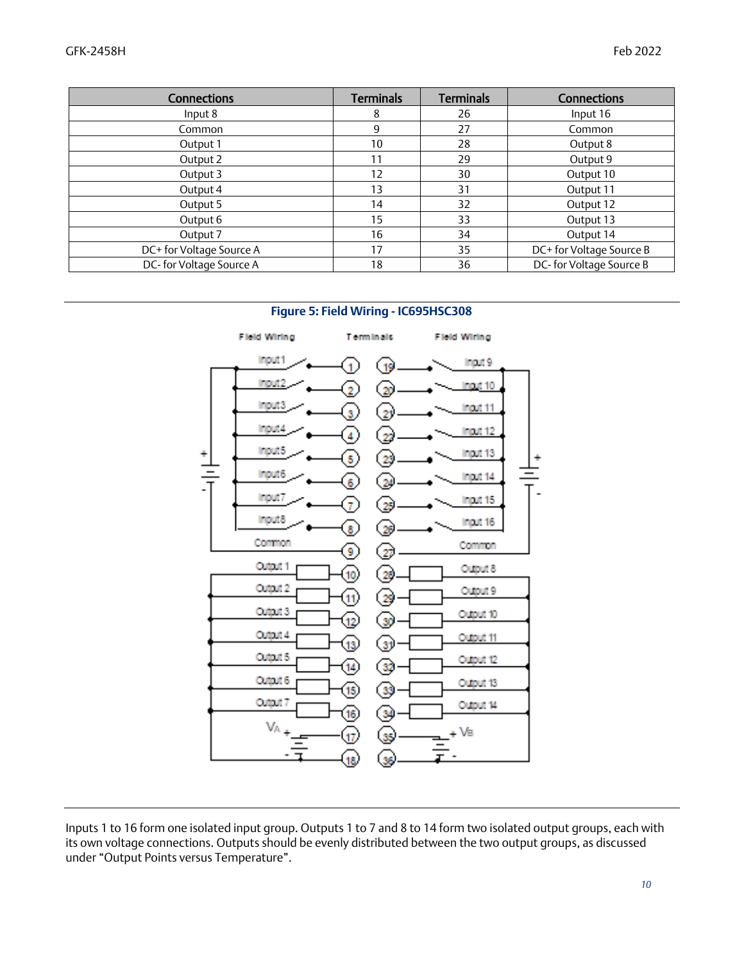| <b>Connections</b>       | <b>Terminals</b> | <b>Terminals</b> | <b>Connections</b>       |
|--------------------------|------------------|------------------|--------------------------|
| Input 8                  | 8                | 26               | Input 16                 |
| Common                   | 9                | 27               | Common                   |
| Output 1                 | 10               | 28               | Output 8                 |
| Output 2                 | 11               | 29               | Output 9                 |
| Output 3                 | 12               | 30               | Output 10                |
| Output 4                 | 13               | 31               | Output 11                |
| Output 5                 | 14               | 32               | Output 12                |
| Output 6                 | 15               | 33               | Output 13                |
| Output 7                 | 16               | 34               | Output 14                |
| DC+ for Voltage Source A | 17               | 35               | DC+ for Voltage Source B |
| DC-for Voltage Source A  | 18               | 36               | DC-for Voltage Source B  |

#### **Figure 5: Field Wiring - IC695HSC308**



Inputs 1 to 16 form one isolated input group. Outputs 1 to 7 and 8 to 14 form two isolated output groups, each with its own voltage connections. Outputs should be evenly distributed between the two output groups, as discussed under "Output Points versus Temperature".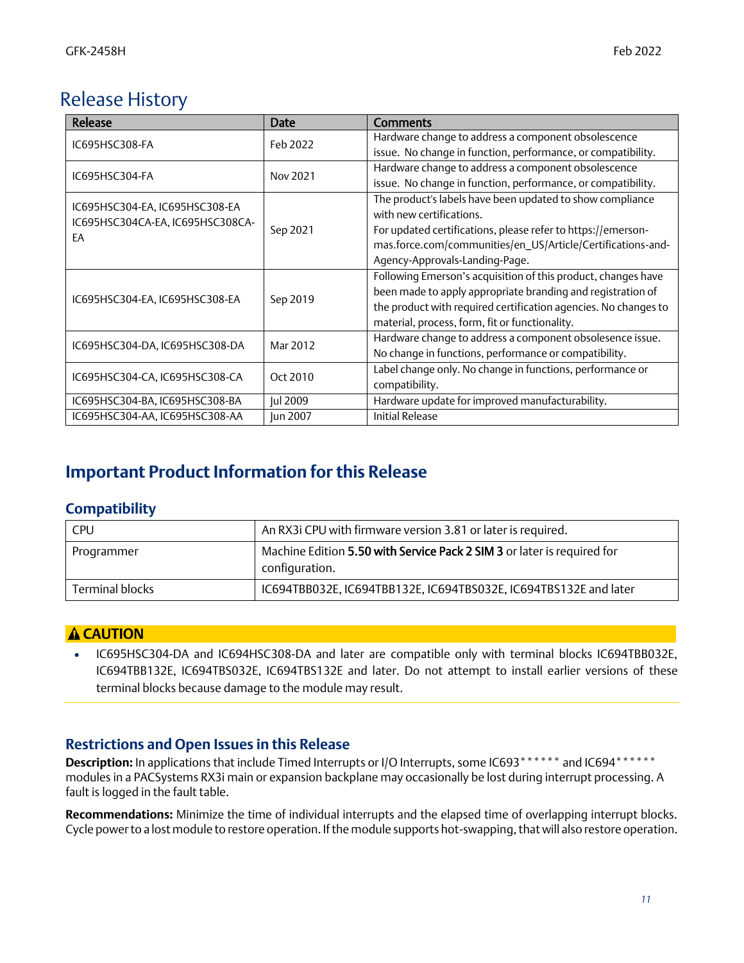## Release History

| Release                          | <b>Date</b> | <b>Comments</b>                                                 |
|----------------------------------|-------------|-----------------------------------------------------------------|
| IC695HSC308-FA                   | Feb 2022    | Hardware change to address a component obsolescence             |
|                                  |             | issue. No change in function, performance, or compatibility.    |
| IC695HSC304-FA                   | Nov 2021    | Hardware change to address a component obsolescence             |
|                                  |             | issue. No change in function, performance, or compatibility.    |
| IC695HSC304-EA, IC695HSC308-EA   |             | The product's labels have been updated to show compliance       |
| IC695HSC304CA-EA, IC695HSC308CA- |             | with new certifications.                                        |
| EA                               | Sep 2021    | For updated certifications, please refer to https://emerson-    |
|                                  |             | mas.force.com/communities/en_US/Article/Certifications-and-     |
|                                  |             | Agency-Approvals-Landing-Page.                                  |
|                                  |             | Following Emerson's acquisition of this product, changes have   |
| IC695HSC304-EA, IC695HSC308-EA   | Sep 2019    | been made to apply appropriate branding and registration of     |
|                                  |             | the product with required certification agencies. No changes to |
|                                  |             | material, process, form, fit or functionality.                  |
| IC695HSC304-DA, IC695HSC308-DA   | Mar 2012    | Hardware change to address a component obsolesence issue.       |
|                                  |             | No change in functions, performance or compatibility.           |
| IC695HSC304-CA, IC695HSC308-CA   | Oct 2010    | Label change only. No change in functions, performance or       |
|                                  |             | compatibility.                                                  |
| IC695HSC304-BA, IC695HSC308-BA   | Jul 2009    | Hardware update for improved manufacturability.                 |
| IC695HSC304-AA, IC695HSC308-AA   | Jun 2007    | <b>Initial Release</b>                                          |

## *Important Product Information for this Release*

#### *Compatibility*

| <b>CPU</b>             | An RX3i CPU with firmware version 3.81 or later is required.                              |
|------------------------|-------------------------------------------------------------------------------------------|
| Programmer             | Machine Edition 5.50 with Service Pack 2 SIM 3 or later is required for<br>configuration. |
| <b>Terminal blocks</b> | IC694TBB032E, IC694TBB132E, IC694TBS032E, IC694TBS132E and later                          |

#### **CAUTION**

• IC695HSC304-DA and IC694HSC308-DA and later are compatible only with terminal blocks IC694TBB032E, IC694TBB132E, IC694TBS032E, IC694TBS132E and later. Do not attempt to install earlier versions of these terminal blocks because damage to the module may result.

#### *Restrictions and Open Issues in this Release*

**Description:** In applications that include Timed Interrupts or I/O Interrupts, some IC693\*\*\*\*\*\* and IC694\*\*\*\*\*\* modules in a PACSystems RX3i main or expansion backplane may occasionally be lost during interrupt processing. A fault is logged in the fault table.

**Recommendations:** Minimize the time of individual interrupts and the elapsed time of overlapping interrupt blocks. Cycle power to a lost module to restore operation. If the module supports hot-swapping, that will also restore operation.